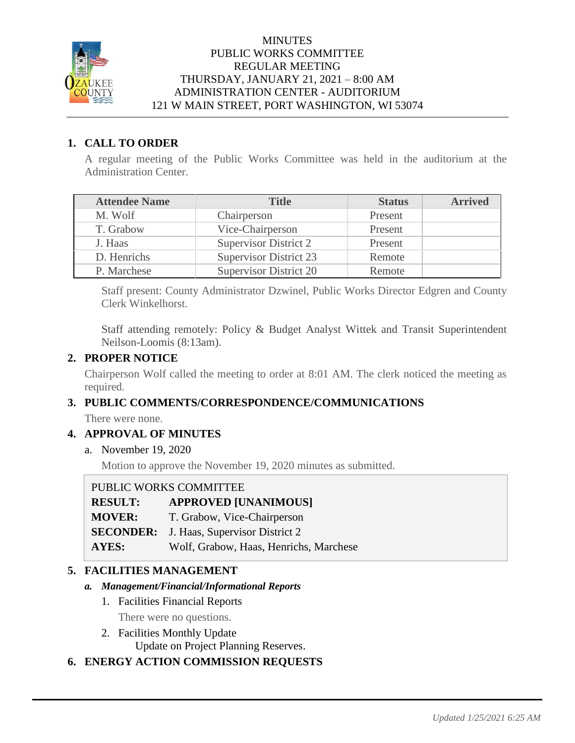

# **MINUTES** PUBLIC WORKS COMMITTEE REGULAR MEETING THURSDAY, JANUARY 21, 2021 – 8:00 AM ADMINISTRATION CENTER - AUDITORIUM 121 W MAIN STREET, PORT WASHINGTON, WI 53074

# **1. CALL TO ORDER**

A regular meeting of the Public Works Committee was held in the auditorium at the Administration Center.

| <b>Attendee Name</b> | <b>Title</b>                  | <b>Status</b> | <b>Arrived</b> |
|----------------------|-------------------------------|---------------|----------------|
| M. Wolf              | Chairperson                   | Present       |                |
| T. Grabow            | Vice-Chairperson              | Present       |                |
| J. Haas              | Supervisor District 2         | Present       |                |
| D. Henrichs          | <b>Supervisor District 23</b> | Remote        |                |
| P. Marchese          | <b>Supervisor District 20</b> | Remote        |                |

Staff present: County Administrator Dzwinel, Public Works Director Edgren and County Clerk Winkelhorst.

Staff attending remotely: Policy & Budget Analyst Wittek and Transit Superintendent Neilson-Loomis (8:13am).

# **2. PROPER NOTICE**

Chairperson Wolf called the meeting to order at 8:01 AM. The clerk noticed the meeting as required.

# **3. PUBLIC COMMENTS/CORRESPONDENCE/COMMUNICATIONS**

There were none.

# **4. APPROVAL OF MINUTES**

a. November 19, 2020

Motion to approve the November 19, 2020 minutes as submitted.

| PUBLIC WORKS COMMITTEE |                                                 |  |
|------------------------|-------------------------------------------------|--|
| <b>RESULT:</b>         | <b>APPROVED [UNANIMOUS]</b>                     |  |
| <b>MOVER:</b>          | T. Grabow, Vice-Chairperson                     |  |
|                        | <b>SECONDER:</b> J. Haas, Supervisor District 2 |  |
| <b>AYES:</b>           | Wolf, Grabow, Haas, Henrichs, Marchese          |  |

# **5. FACILITIES MANAGEMENT**

### *a. Management/Financial/Informational Reports*

- 1. Facilities Financial Reports
	- There were no questions.
- 2. Facilities Monthly Update Update on Project Planning Reserves.

# **6. ENERGY ACTION COMMISSION REQUESTS**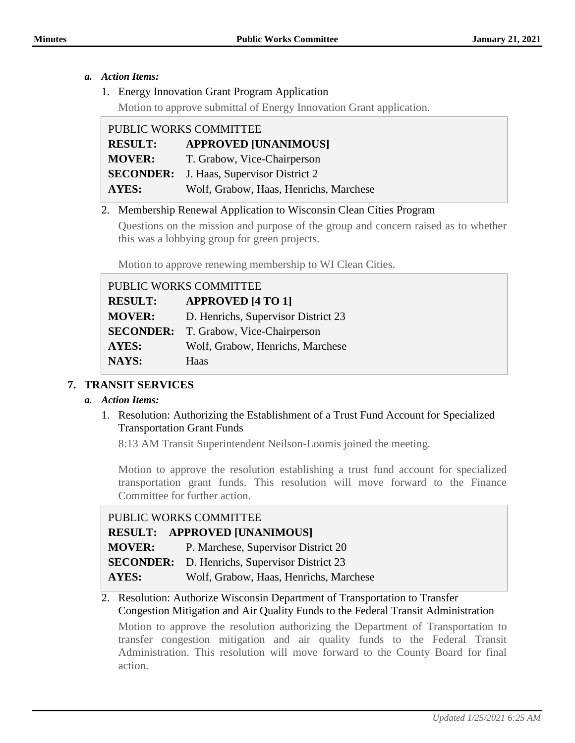### *a. Action Items:*

1. Energy Innovation Grant Program Application

Motion to approve submittal of Energy Innovation Grant application.

| PUBLIC WORKS COMMITTEE                        |                                                 |
|-----------------------------------------------|-------------------------------------------------|
| <b>APPROVED [UNANIMOUS]</b><br><b>RESULT:</b> |                                                 |
| <b>MOVER:</b>                                 | T. Grabow, Vice-Chairperson                     |
|                                               | <b>SECONDER:</b> J. Haas, Supervisor District 2 |
| <b>AYES:</b>                                  | Wolf, Grabow, Haas, Henrichs, Marchese          |

### 2. Membership Renewal Application to Wisconsin Clean Cities Program

Questions on the mission and purpose of the group and concern raised as to whether this was a lobbying group for green projects.

Motion to approve renewing membership to WI Clean Cities.

| PUBLIC WORKS COMMITTEE |                                              |  |
|------------------------|----------------------------------------------|--|
| <b>RESULT:</b>         | <b>APPROVED [4 TO 1]</b>                     |  |
| <b>MOVER:</b>          | D. Henrichs, Supervisor District 23          |  |
|                        | <b>SECONDER:</b> T. Grabow, Vice-Chairperson |  |
| <b>AYES:</b>           | Wolf, Grabow, Henrichs, Marchese             |  |
| NAYS:                  | Haas                                         |  |

# **7. TRANSIT SERVICES**

# *a. Action Items:*

1. Resolution: Authorizing the Establishment of a Trust Fund Account for Specialized Transportation Grant Funds

8:13 AM Transit Superintendent Neilson-Loomis joined the meeting.

Motion to approve the resolution establishing a trust fund account for specialized transportation grant funds. This resolution will move forward to the Finance Committee for further action.

# PUBLIC WORKS COMMITTEE

|               | <b>RESULT: APPROVED [UNANIMOUS]</b>                  |
|---------------|------------------------------------------------------|
| <b>MOVER:</b> | P. Marchese, Supervisor District 20                  |
|               | <b>SECONDER:</b> D. Henrichs, Supervisor District 23 |
| AYES:         | Wolf, Grabow, Haas, Henrichs, Marchese               |

# 2. Resolution: Authorize Wisconsin Department of Transportation to Transfer Congestion Mitigation and Air Quality Funds to the Federal Transit Administration

Motion to approve the resolution authorizing the Department of Transportation to transfer congestion mitigation and air quality funds to the Federal Transit Administration. This resolution will move forward to the County Board for final action.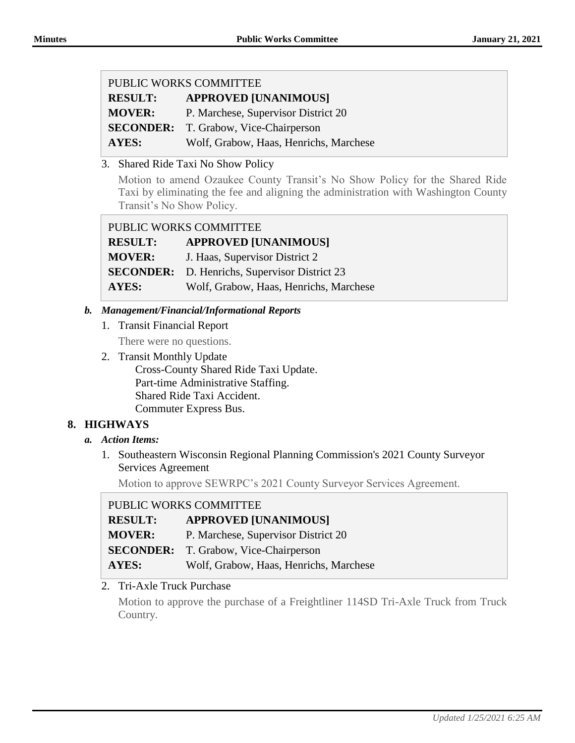| PUBLIC WORKS COMMITTEE |                                              |  |
|------------------------|----------------------------------------------|--|
| <b>RESULT:</b>         | <b>APPROVED [UNANIMOUS]</b>                  |  |
| <b>MOVER:</b>          | P. Marchese, Supervisor District 20          |  |
|                        | <b>SECONDER:</b> T. Grabow, Vice-Chairperson |  |
| <b>AYES:</b>           | Wolf, Grabow, Haas, Henrichs, Marchese       |  |

3. Shared Ride Taxi No Show Policy

Motion to amend Ozaukee County Transit's No Show Policy for the Shared Ride Taxi by eliminating the fee and aligning the administration with Washington County Transit's No Show Policy.

| PUBLIC WORKS COMMITTEE                               |  |  |
|------------------------------------------------------|--|--|
| <b>APPROVED [UNANIMOUS]</b>                          |  |  |
| J. Haas, Supervisor District 2                       |  |  |
| <b>SECONDER:</b> D. Henrichs, Supervisor District 23 |  |  |
| Wolf, Grabow, Haas, Henrichs, Marchese               |  |  |
|                                                      |  |  |

### *b. Management/Financial/Informational Reports*

1. Transit Financial Report

There were no questions.

2. Transit Monthly Update Cross-County Shared Ride Taxi Update. Part-time Administrative Staffing. Shared Ride Taxi Accident. Commuter Express Bus.

# **8. HIGHWAYS**

- *a. Action Items:*
	- 1. Southeastern Wisconsin Regional Planning Commission's 2021 County Surveyor Services Agreement

Motion to approve SEWRPC's 2021 County Surveyor Services Agreement.

| PUBLIC WORKS COMMITTEE |                                              |  |
|------------------------|----------------------------------------------|--|
| <b>RESULT:</b>         | <b>APPROVED [UNANIMOUS]</b>                  |  |
| <b>MOVER:</b>          | P. Marchese, Supervisor District 20          |  |
|                        | <b>SECONDER:</b> T. Grabow, Vice-Chairperson |  |
| <b>AYES:</b>           | Wolf, Grabow, Haas, Henrichs, Marchese       |  |

2. Tri-Axle Truck Purchase

Motion to approve the purchase of a Freightliner 114SD Tri-Axle Truck from Truck Country.